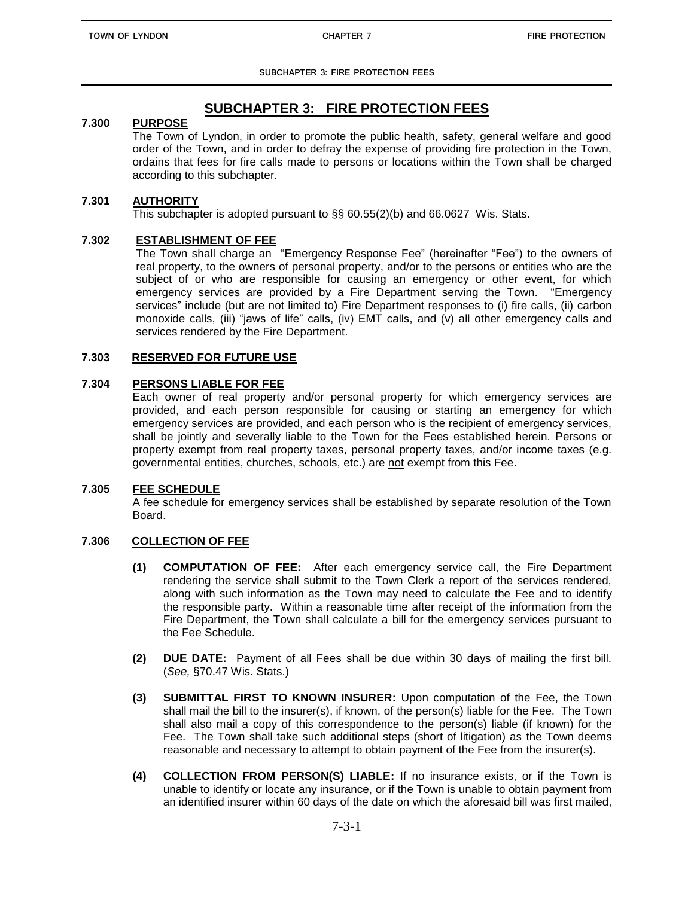# **SUBCHAPTER 3: FIRE PROTECTION FEES**

# **7.300 PURPOSE**

The Town of Lyndon, in order to promote the public health, safety, general welfare and good order of the Town, and in order to defray the expense of providing fire protection in the Town, ordains that fees for fire calls made to persons or locations within the Town shall be charged according to this subchapter.

# **7.301 AUTHORITY**

This subchapter is adopted pursuant to  $\S$ § 60.55(2)(b) and 66.0627 Wis. Stats.

# **7.302 ESTABLISHMENT OF FEE**

The Town shall charge an "Emergency Response Fee" (hereinafter "Fee") to the owners of real property, to the owners of personal property, and/or to the persons or entities who are the subject of or who are responsible for causing an emergency or other event, for which emergency services are provided by a Fire Department serving the Town. "Emergency services" include (but are not limited to) Fire Department responses to (i) fire calls, (ii) carbon monoxide calls, (iii) "jaws of life" calls, (iv) EMT calls, and (v) all other emergency calls and services rendered by the Fire Department.

### **7.303 RESERVED FOR FUTURE USE**

### **7.304 PERSONS LIABLE FOR FEE**

Each owner of real property and/or personal property for which emergency services are provided, and each person responsible for causing or starting an emergency for which emergency services are provided, and each person who is the recipient of emergency services, shall be jointly and severally liable to the Town for the Fees established herein. Persons or property exempt from real property taxes, personal property taxes, and/or income taxes (e.g. governmental entities, churches, schools, etc.) are not exempt from this Fee.

# **7.305 FEE SCHEDULE**

A fee schedule for emergency services shall be established by separate resolution of the Town Board.

# **7.306 COLLECTION OF FEE**

- **(1) COMPUTATION OF FEE:** After each emergency service call, the Fire Department rendering the service shall submit to the Town Clerk a report of the services rendered, along with such information as the Town may need to calculate the Fee and to identify the responsible party. Within a reasonable time after receipt of the information from the Fire Department, the Town shall calculate a bill for the emergency services pursuant to the Fee Schedule.
- **(2) DUE DATE:** Payment of all Fees shall be due within 30 days of mailing the first bill. (*See,* §70.47 Wis. Stats.)
- **(3) SUBMITTAL FIRST TO KNOWN INSURER:** Upon computation of the Fee, the Town shall mail the bill to the insurer(s), if known, of the person(s) liable for the Fee. The Town shall also mail a copy of this correspondence to the person(s) liable (if known) for the Fee. The Town shall take such additional steps (short of litigation) as the Town deems reasonable and necessary to attempt to obtain payment of the Fee from the insurer(s).
- **(4) COLLECTION FROM PERSON(S) LIABLE:** If no insurance exists, or if the Town is unable to identify or locate any insurance, or if the Town is unable to obtain payment from an identified insurer within 60 days of the date on which the aforesaid bill was first mailed,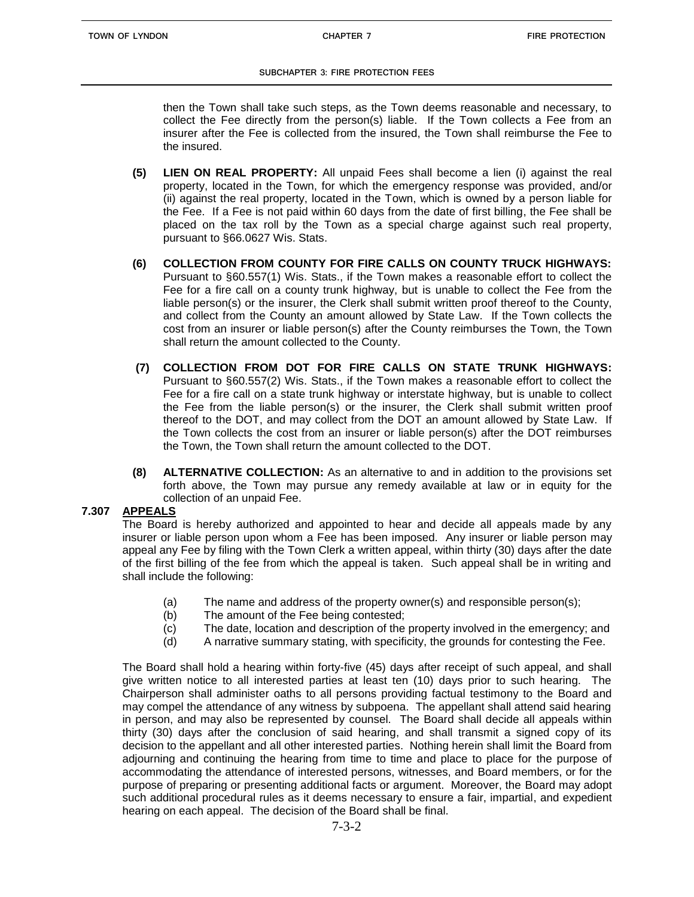then the Town shall take such steps, as the Town deems reasonable and necessary, to collect the Fee directly from the person(s) liable. If the Town collects a Fee from an insurer after the Fee is collected from the insured, the Town shall reimburse the Fee to the insured.

- **(5) LIEN ON REAL PROPERTY:** All unpaid Fees shall become a lien (i) against the real property, located in the Town, for which the emergency response was provided, and/or (ii) against the real property, located in the Town, which is owned by a person liable for the Fee. If a Fee is not paid within 60 days from the date of first billing, the Fee shall be placed on the tax roll by the Town as a special charge against such real property, pursuant to §66.0627 Wis. Stats.
- **(6) COLLECTION FROM COUNTY FOR FIRE CALLS ON COUNTY TRUCK HIGHWAYS:** Pursuant to §60.557(1) Wis. Stats., if the Town makes a reasonable effort to collect the Fee for a fire call on a county trunk highway, but is unable to collect the Fee from the liable person(s) or the insurer, the Clerk shall submit written proof thereof to the County, and collect from the County an amount allowed by State Law. If the Town collects the cost from an insurer or liable person(s) after the County reimburses the Town, the Town shall return the amount collected to the County.
- **(7) COLLECTION FROM DOT FOR FIRE CALLS ON STATE TRUNK HIGHWAYS:** Pursuant to §60.557(2) Wis. Stats., if the Town makes a reasonable effort to collect the Fee for a fire call on a state trunk highway or interstate highway, but is unable to collect the Fee from the liable person(s) or the insurer, the Clerk shall submit written proof thereof to the DOT, and may collect from the DOT an amount allowed by State Law. If the Town collects the cost from an insurer or liable person(s) after the DOT reimburses the Town, the Town shall return the amount collected to the DOT.
- **(8) ALTERNATIVE COLLECTION:** As an alternative to and in addition to the provisions set forth above, the Town may pursue any remedy available at law or in equity for the collection of an unpaid Fee.

#### **7.307 APPEALS**

The Board is hereby authorized and appointed to hear and decide all appeals made by any insurer or liable person upon whom a Fee has been imposed. Any insurer or liable person may appeal any Fee by filing with the Town Clerk a written appeal, within thirty (30) days after the date of the first billing of the fee from which the appeal is taken. Such appeal shall be in writing and shall include the following:

- (a) The name and address of the property owner(s) and responsible person(s);
- (b) The amount of the Fee being contested;
- (c) The date, location and description of the property involved in the emergency; and
- (d) A narrative summary stating, with specificity, the grounds for contesting the Fee.

The Board shall hold a hearing within forty-five (45) days after receipt of such appeal, and shall give written notice to all interested parties at least ten (10) days prior to such hearing. The Chairperson shall administer oaths to all persons providing factual testimony to the Board and may compel the attendance of any witness by subpoena. The appellant shall attend said hearing in person, and may also be represented by counsel. The Board shall decide all appeals within thirty (30) days after the conclusion of said hearing, and shall transmit a signed copy of its decision to the appellant and all other interested parties. Nothing herein shall limit the Board from adjourning and continuing the hearing from time to time and place to place for the purpose of accommodating the attendance of interested persons, witnesses, and Board members, or for the purpose of preparing or presenting additional facts or argument. Moreover, the Board may adopt such additional procedural rules as it deems necessary to ensure a fair, impartial, and expedient hearing on each appeal. The decision of the Board shall be final.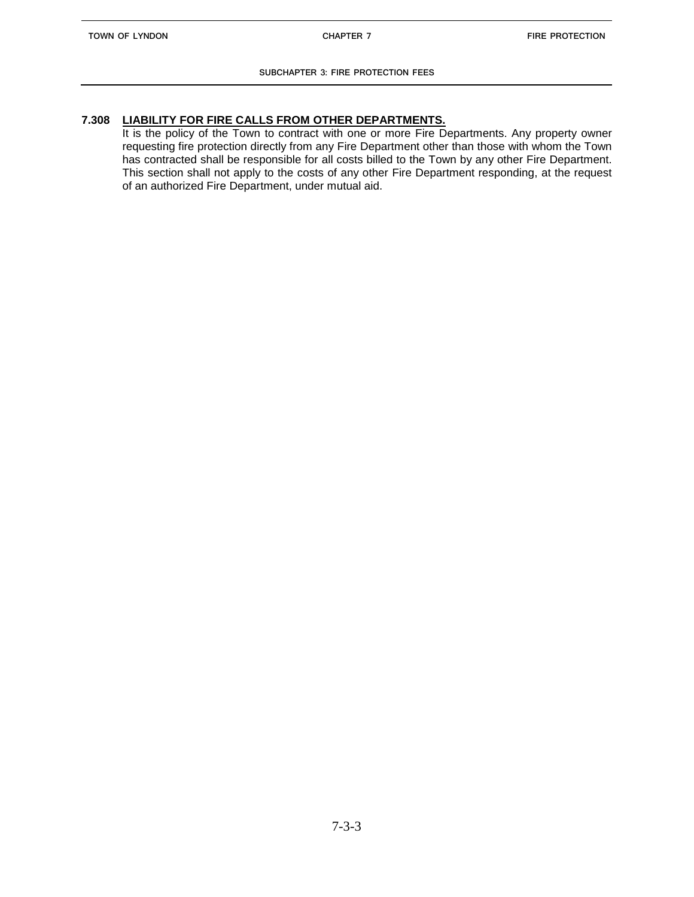### **7.308 LIABILITY FOR FIRE CALLS FROM OTHER DEPARTMENTS.**

It is the policy of the Town to contract with one or more Fire Departments. Any property owner requesting fire protection directly from any Fire Department other than those with whom the Town has contracted shall be responsible for all costs billed to the Town by any other Fire Department. This section shall not apply to the costs of any other Fire Department responding, at the request of an authorized Fire Department, under mutual aid.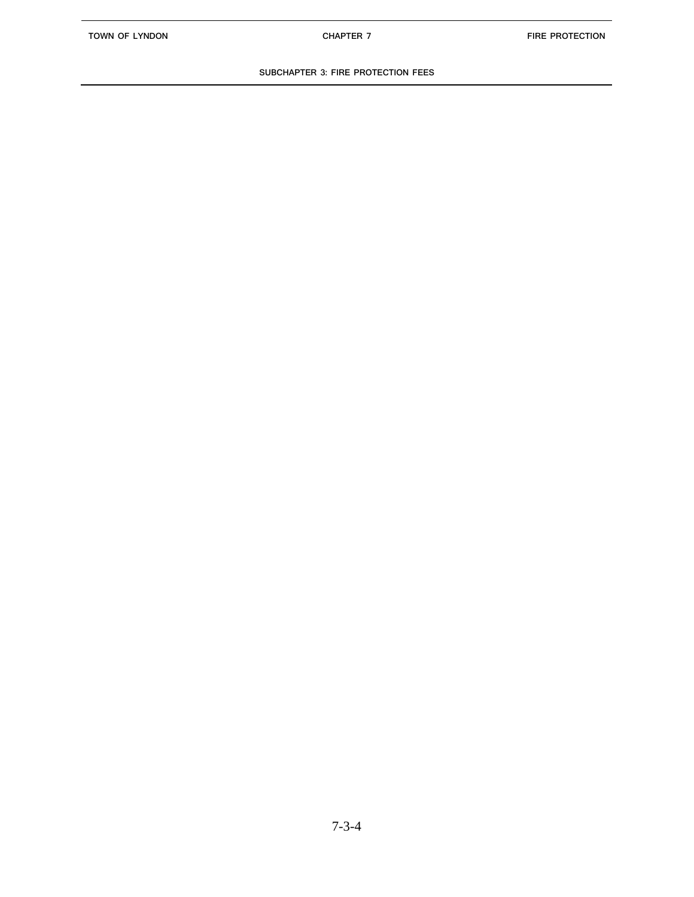7-3-4